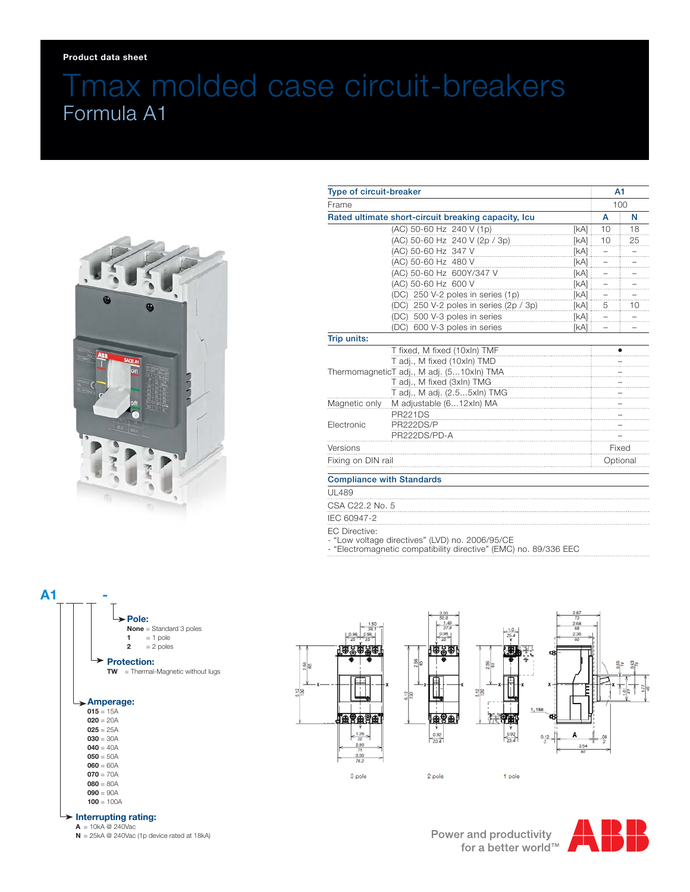# Tmax molded case circuit-breakers Formula A1



| Type of circuit-breaker<br>Frame          |                                        | A <sub>1</sub><br>100 |          |                                                     |
|-------------------------------------------|----------------------------------------|-----------------------|----------|-----------------------------------------------------|
|                                           |                                        |                       |          | Rated ultimate short-circuit breaking capacity, Icu |
|                                           | (AC) 50-60 Hz 240 V (1p)               | [kA]                  | 10       | 18                                                  |
|                                           | (AC) 50-60 Hz 240 V (2p / 3p)          | [kA]                  | 10       | 25                                                  |
|                                           | (AC) 50-60 Hz 347 V                    | [kA]                  |          |                                                     |
|                                           | (AC) 50-60 Hz 480 V                    | [kA]                  |          |                                                     |
|                                           | (AC) 50-60 Hz 600Y/347 V               | [kA]                  |          |                                                     |
|                                           | (AC) 50-60 Hz 600 V                    | [kA]                  |          |                                                     |
|                                           | (DC) 250 V-2 poles in series (1p)      | [kA]                  |          |                                                     |
|                                           | (DC) 250 V-2 poles in series (2p / 3p) | [kA]                  | 5        | 10                                                  |
|                                           | (DC) 500 V-3 poles in series           | [KA]                  |          |                                                     |
|                                           | (DC) 600 V-3 poles in series           | [kA] i                |          |                                                     |
| Trip units:                               |                                        |                       |          |                                                     |
|                                           | T fixed, M fixed (10xln) TMF           |                       |          |                                                     |
|                                           | T adj., M fixed (10xln) TMD            |                       |          |                                                     |
| ThermomagneticT adj., M adj. (510xln) TMA |                                        |                       |          |                                                     |
|                                           | T adj., M fixed (3xln) TMG             |                       |          |                                                     |
|                                           | T adj., M adj. (2.55xln) TMG           |                       |          |                                                     |
| Magnetic only                             | M adjustable (612xln) MA               |                       |          |                                                     |
|                                           | <b>PR221DS</b>                         |                       |          |                                                     |
| Electronic                                | PR222DS/P                              |                       |          |                                                     |
|                                           | PR222DS/PD-A                           |                       |          |                                                     |
| Versions                                  |                                        |                       | Fixed    |                                                     |
| Fixing on DIN rail                        |                                        |                       | Optional |                                                     |
| <b>Compliance with Standards</b>          |                                        |                       |          |                                                     |

## UL489

CSA C22.2 No. 5

IEC 60947-2

EC Directive:

- "Low voltage directives" (LVD) no. 2006/95/CE

- "Electromagnetic compatibility directive" (EMC) no. 89/336 EEC



#### **Interrupting rating:**

 $A = 10kA \otimes 240\text{Vac}$ 

**N** = 25kA @ 240Vac (1p device rated at 18kA)

Power and productivity for a better world™